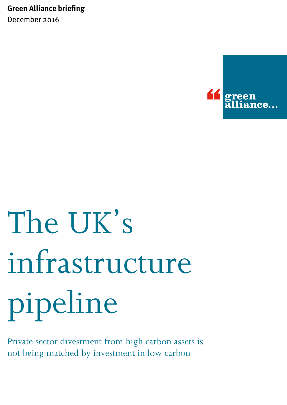**Green Alliance briefing** December 2016



# The UK's infrastructure pipeline

Private sector divestment from high carbon assets is not being matched by investment in low carbon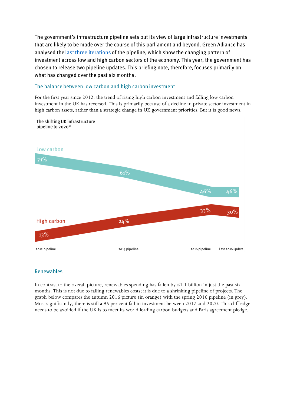The government's infrastructure pipeline sets out its view of large infrastructure investments that are likely to be made over the course of this parliament and beyond. Green Alliance has analysed the last three iterations of the pipeline, which show the changing pattern of investment across low and high carbon sectors of the economy. This year, the government has chosen to release two pipeline updates. This briefing note, therefore, focuses primarily on what has changed over the past six months.

## The balance between low carbon and high carbon investment

For the first year since 2012, the trend of rising high carbon investment and falling low carbon investment in the UK has reversed. This is primarily because of a decline in private sector investment in high carbon assets, rather than a strategic change in UK government priorities. But it is good news.



The shifting UK infrastructure pipeline to 2020<sup>15</sup>

# Renewables

In contrast to the overall picture, renewables spending has fallen by  $\text{\pounds}1.1$  billion in just the past six months. This is not due to falling renewables costs; it is due to a shrinking pipeline of projects. The graph below compares the autumn 2016 picture (in orange) with the spring 2016 pipeline (in grey). Most significantly, there is still a 95 per cent fall in investment between 2017 and 2020. This cliff edge needs to be avoided if the UK is to meet its world leading carbon budgets and Paris agreement pledge.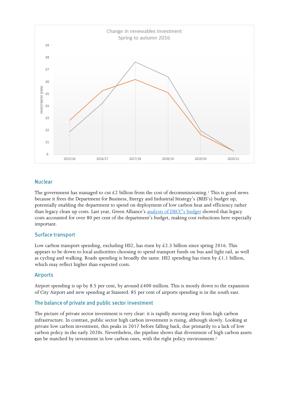

### **Nuclear**

The government has managed to cut  $\&$  2 billion from the cost of decommissioning.<sup>1</sup> This is good news because it frees the Department for Business, Energy and Industrial Strategy's (BEIS's) budget up, potentially enabling the department to spend on deployment of low carbon heat and efficiency rather than legacy clean up costs. Last year, Green Alliance's [analysis of DECC's budget](http://www.green-alliance.org.uk/page_1851.php) showed that legacy costs accounted for over 80 per cent of the department's budget, making cost reductions here especially important.

# **Surface transport**

Low carbon transport spending, excluding HS2, has risen by  $\&2.3$  billion since spring 2016. This appears to be down to local authorities choosing to spend transport funds on bus and light rail, as well as cycling and walking. Roads spending is broadly the same. HS2 spending has risen by  $\&1.1$  billion, which may reflect higher than expected costs.

### **Airports**

Airport spending is up by 8.5 per cent, by around  $\text{\pounds}400$  million. This is mostly down to the expansion of City Airport and new spending at Stansted. 85 per cent of airports spending is in the south east.

### The balance of private and public sector investment

The picture of private sector investment is very clear: it is rapidly moving away from high carbon infrastructure. In contrast, public sector high carbon investment is rising, although slowly. Looking at private low carbon investment, this peaks in 2017 before falling back, due primarily to a lack of low carbon policy in the early 2020s. Nevertheless, the pipeline shows that divestment of high carbon assets can be matched by investment in low carbon ones, with the right policy environment.<sup>2</sup>